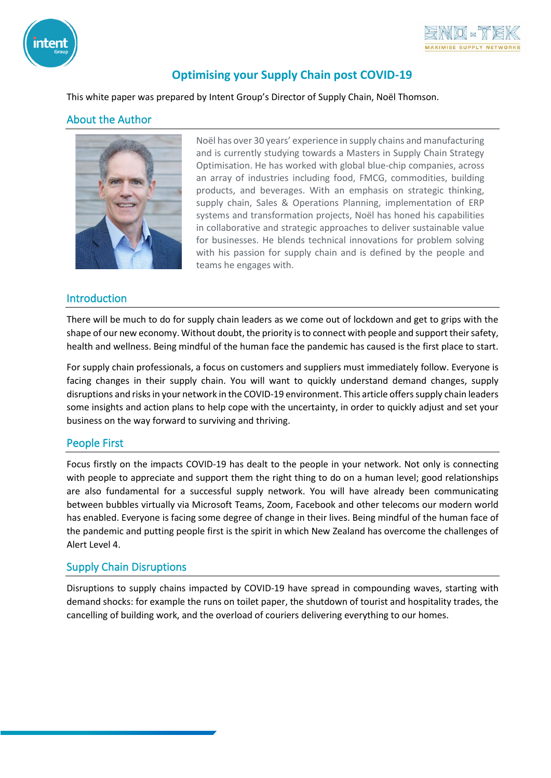



# **Optimising your Supply Chain post COVID-19**

This white paper was prepared by Intent Group's Director of Supply Chain, Noël Thomson.

### About the Author



Noël has over 30 years' experience in supply chains and manufacturing and is currently studying towards a Masters in Supply Chain Strategy Optimisation. He has worked with global blue-chip companies, across an array of industries including food, FMCG, commodities, building products, and beverages. With an emphasis on strategic thinking, supply chain, Sales & Operations Planning, implementation of ERP systems and transformation projects, Noël has honed his capabilities in collaborative and strategic approaches to deliver sustainable value for businesses. He blends technical innovations for problem solving with his passion for supply chain and is defined by the people and teams he engages with.

### Introduction

There will be much to do for supply chain leaders as we come out of lockdown and get to grips with the shape of our new economy. Without doubt, the priority is to connect with people and support their safety, health and wellness. Being mindful of the human face the pandemic has caused is the first place to start.

For supply chain professionals, a focus on customers and suppliers must immediately follow. Everyone is facing changes in their supply chain. You will want to quickly understand demand changes, supply disruptions and risks in your network in the COVID-19 environment. This article offers supply chain leaders some insights and action plans to help cope with the uncertainty, in order to quickly adjust and set your business on the way forward to surviving and thriving.

### People First

Focus firstly on the impacts COVID-19 has dealt to the people in your network. Not only is connecting with people to appreciate and support them the right thing to do on a human level; good relationships are also fundamental for a successful supply network. You will have already been communicating between bubbles virtually via Microsoft Teams, Zoom, Facebook and other telecoms our modern world has enabled. Everyone is facing some degree of change in their lives. Being mindful of the human face of the pandemic and putting people first is the spirit in which New Zealand has overcome the challenges of Alert Level 4.

## Supply Chain Disruptions

Disruptions to supply chains impacted by COVID-19 have spread in compounding waves, starting with demand shocks: for example the runs on toilet paper, the shutdown of tourist and hospitality trades, the cancelling of building work, and the overload of couriers delivering everything to our homes.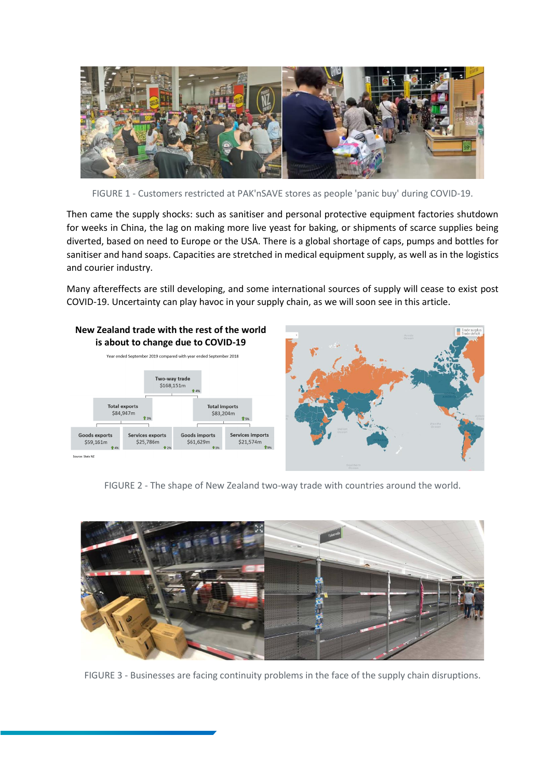

FIGURE 1 - Customers restricted at PAK'nSAVE stores as people 'panic buy' during COVID-19.

Then came the supply shocks: such as sanitiser and personal protective equipment factories shutdown for weeks in China, the lag on making more live yeast for baking, or shipments of scarce supplies being diverted, based on need to Europe or the USA. There is a global shortage of caps, pumps and bottles for sanitiser and hand soaps. Capacities are stretched in medical equipment supply, as well as in the logistics and courier industry.

Many aftereffects are still developing, and some international sources of supply will cease to exist post COVID-19. Uncertainty can play havoc in your supply chain, as we will soon see in this article.



FIGURE 2 - The shape of New Zealand two-way trade with countries around the world.



FIGURE 3 - Businesses are facing continuity problems in the face of the supply chain disruptions.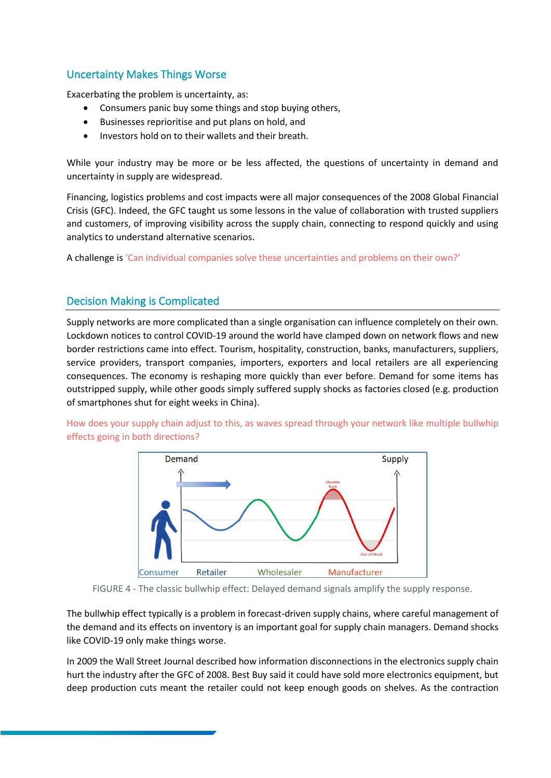## Uncertainty Makes Things Worse

Exacerbating the problem is uncertainty, as:

- Consumers panic buy some things and stop buying others,
- Businesses reprioritise and put plans on hold, and
- Investors hold on to their wallets and their breath.

While your industry may be more or be less affected, the questions of uncertainty in demand and uncertainty in supply are widespread.

Financing, logistics problems and cost impacts were all major consequences of the 2008 Global Financial Crisis (GFC). Indeed, the GFC taught us some lessons in the value of collaboration with trusted suppliers and customers, of improving visibility across the supply chain, connecting to respond quickly and using analytics to understand alternative scenarios.

A challenge is 'Can individual companies solve these uncertainties and problems on their own?'

## Decision Making is Complicated

Supply networks are more complicated than a single organisation can influence completely on their own. Lockdown notices to control COVID-19 around the world have clamped down on network flows and new border restrictions came into effect. Tourism, hospitality, construction, banks, manufacturers, suppliers, service providers, transport companies, importers, exporters and local retailers are all experiencing consequences. The economy is reshaping more quickly than ever before. Demand for some items has outstripped supply, while other goods simply suffered supply shocks as factories closed (e.g. production of smartphones shut for eight weeks in China).





FIGURE 4 - The classic bullwhip effect: Delayed demand signals amplify the supply response.

The bullwhip effect typically is a problem in forecast-driven supply chains, where careful management of the demand and its effects on inventory is an important goal for supply chain managers. Demand shocks like COVID-19 only make things worse.

In 2009 the Wall Street Journal described how information disconnections in the electronics supply chain hurt the industry after the GFC of 2008. Best Buy said it could have sold more electronics equipment, but deep production cuts meant the retailer could not keep enough goods on shelves. As the contraction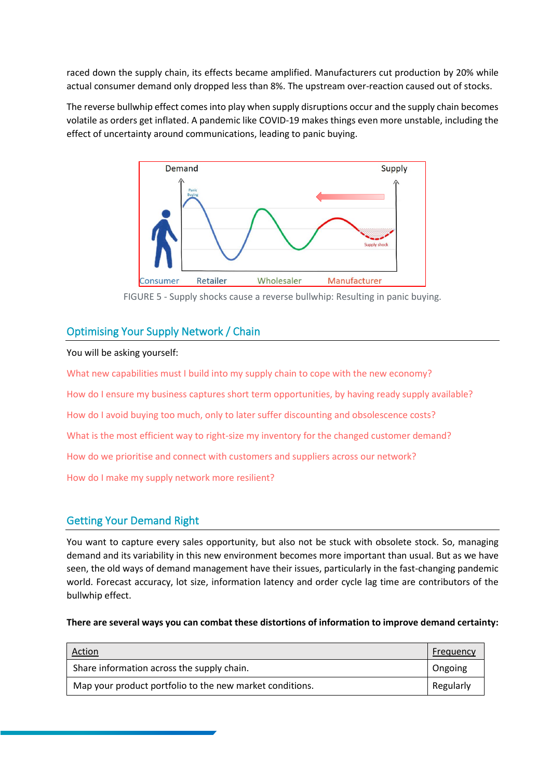raced down the supply chain, its effects became amplified. Manufacturers cut production by 20% while actual consumer demand only dropped less than 8%. The upstream over-reaction caused out of stocks.

The reverse bullwhip effect comes into play when supply disruptions occur and the supply chain becomes volatile as orders get inflated. A pandemic like COVID-19 makes things even more unstable, including the effect of uncertainty around communications, leading to panic buying.



FIGURE 5 - Supply shocks cause a reverse bullwhip: Resulting in panic buying.

## Optimising Your Supply Network / Chain

#### You will be asking yourself:

What new capabilities must I build into my supply chain to cope with the new economy? How do I ensure my business captures short term opportunities, by having ready supply available? How do I avoid buying too much, only to later suffer discounting and obsolescence costs? What is the most efficient way to right-size my inventory for the changed customer demand? How do we prioritise and connect with customers and suppliers across our network? How do I make my supply network more resilient?

## Getting Your Demand Right

You want to capture every sales opportunity, but also not be stuck with obsolete stock. So, managing demand and its variability in this new environment becomes more important than usual. But as we have seen, the old ways of demand management have their issues, particularly in the fast-changing pandemic world. Forecast accuracy, lot size, information latency and order cycle lag time are contributors of the bullwhip effect.

#### **There are several ways you can combat these distortions of information to improve demand certainty:**

| <u>Action</u>                                            | Frequency |
|----------------------------------------------------------|-----------|
| Share information across the supply chain.               | Ongoing   |
| Map your product portfolio to the new market conditions. | Regularly |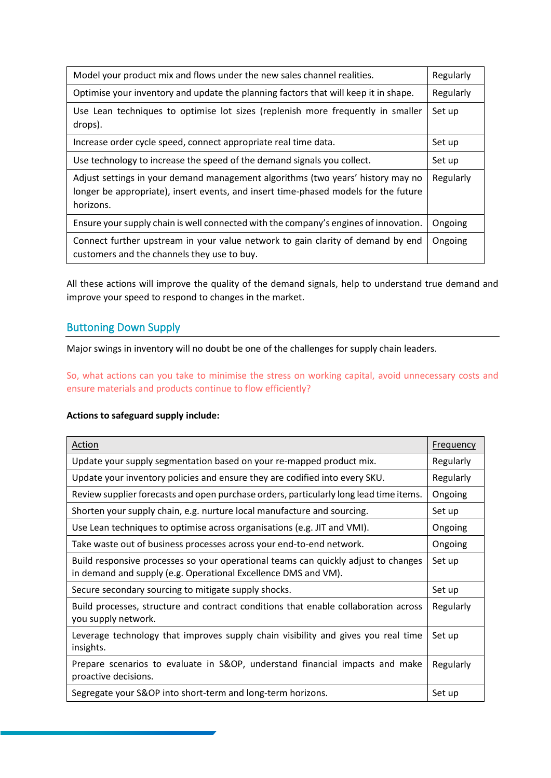| Model your product mix and flows under the new sales channel realities.                                                                                                             | Regularly |
|-------------------------------------------------------------------------------------------------------------------------------------------------------------------------------------|-----------|
| Optimise your inventory and update the planning factors that will keep it in shape.                                                                                                 | Regularly |
| Use Lean techniques to optimise lot sizes (replenish more frequently in smaller<br>drops).                                                                                          | Set up    |
| Increase order cycle speed, connect appropriate real time data.                                                                                                                     | Set up    |
| Use technology to increase the speed of the demand signals you collect.                                                                                                             | Set up    |
| Adjust settings in your demand management algorithms (two years' history may no<br>longer be appropriate), insert events, and insert time-phased models for the future<br>horizons. | Regularly |
| Ensure your supply chain is well connected with the company's engines of innovation.                                                                                                | Ongoing   |
| Connect further upstream in your value network to gain clarity of demand by end<br>customers and the channels they use to buy.                                                      | Ongoing   |

All these actions will improve the quality of the demand signals, help to understand true demand and improve your speed to respond to changes in the market.

## Buttoning Down Supply

Major swings in inventory will no doubt be one of the challenges for supply chain leaders.

So, what actions can you take to minimise the stress on working capital, avoid unnecessary costs and ensure materials and products continue to flow efficiently?

#### **Actions to safeguard supply include:**

| Action                                                                                                                                               | Frequency |
|------------------------------------------------------------------------------------------------------------------------------------------------------|-----------|
| Update your supply segmentation based on your re-mapped product mix.                                                                                 | Regularly |
| Update your inventory policies and ensure they are codified into every SKU.                                                                          | Regularly |
| Review supplier forecasts and open purchase orders, particularly long lead time items.                                                               | Ongoing   |
| Shorten your supply chain, e.g. nurture local manufacture and sourcing.                                                                              | Set up    |
| Use Lean techniques to optimise across organisations (e.g. JIT and VMI).                                                                             | Ongoing   |
| Take waste out of business processes across your end-to-end network.                                                                                 | Ongoing   |
| Build responsive processes so your operational teams can quickly adjust to changes<br>in demand and supply (e.g. Operational Excellence DMS and VM). | Set up    |
| Secure secondary sourcing to mitigate supply shocks.                                                                                                 | Set up    |
| Build processes, structure and contract conditions that enable collaboration across<br>you supply network.                                           | Regularly |
| Leverage technology that improves supply chain visibility and gives you real time<br>insights.                                                       | Set up    |
| Prepare scenarios to evaluate in S&OP, understand financial impacts and make<br>proactive decisions.                                                 | Regularly |
| Segregate your S&OP into short-term and long-term horizons.                                                                                          | Set up    |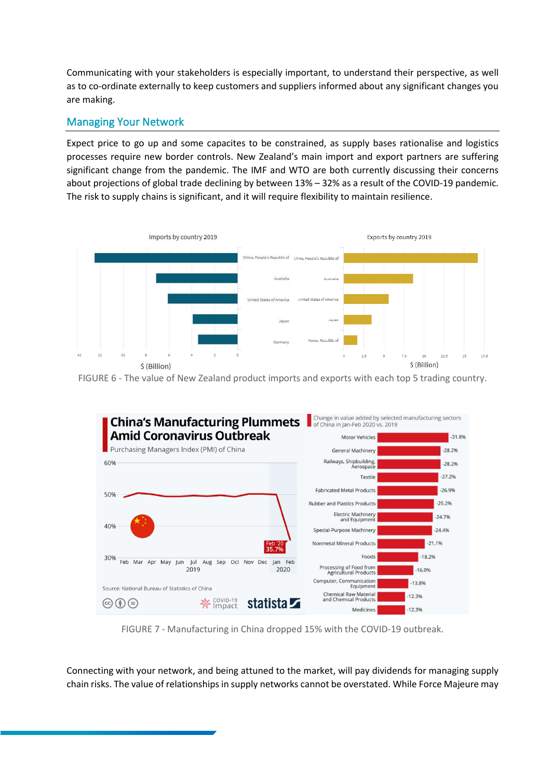Communicating with your stakeholders is especially important, to understand their perspective, as well as to co-ordinate externally to keep customers and suppliers informed about any significant changes you are making.

## Managing Your Network

Expect price to go up and some capacites to be constrained, as supply bases rationalise and logistics processes require new border controls. New Zealand's main import and export partners are suffering significant change from the pandemic. The IMF and WTO are both currently discussing their concerns about projections of global trade declining by between 13% – 32% as a result of the COVID-19 pandemic. The risk to supply chains is significant, and it will require flexibility to maintain resilience.



FIGURE 6 - The value of New Zealand product imports and exports with each top 5 trading country.



FIGURE 7 - Manufacturing in China dropped 15% with the COVID-19 outbreak.

Connecting with your network, and being attuned to the market, will pay dividends for managing supply chain risks. The value of relationships in supply networks cannot be overstated. While Force Majeure may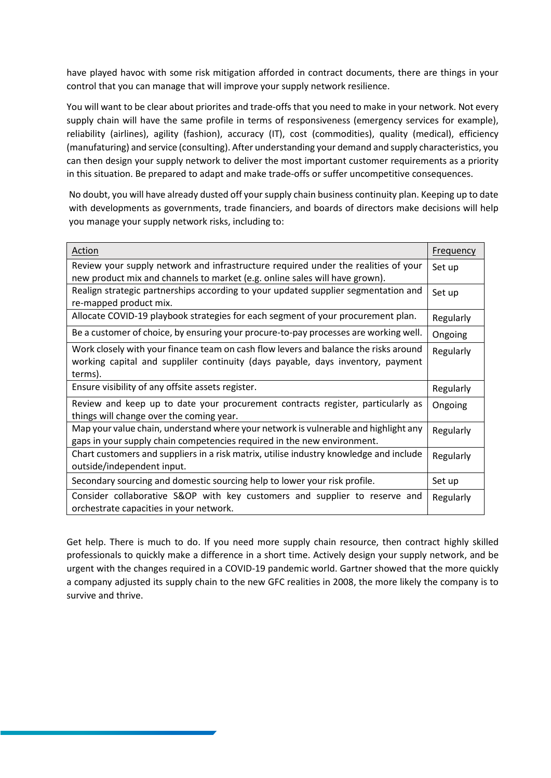have played havoc with some risk mitigation afforded in contract documents, there are things in your control that you can manage that will improve your supply network resilience.

You will want to be clear about priorites and trade-offs that you need to make in your network. Not every supply chain will have the same profile in terms of responsiveness (emergency services for example), reliability (airlines), agility (fashion), accuracy (IT), cost (commodities), quality (medical), efficiency (manufaturing) and service (consulting). After understanding your demand and supply characteristics, you can then design your supply network to deliver the most important customer requirements as a priority in this situation. Be prepared to adapt and make trade-offs or suffer uncompetitive consequences.

No doubt, you will have already dusted off your supply chain business continuity plan. Keeping up to date with developments as governments, trade financiers, and boards of directors make decisions will help you manage your supply network risks, including to:

| Action                                                                                                       | <b>Frequency</b> |
|--------------------------------------------------------------------------------------------------------------|------------------|
| Review your supply network and infrastructure required under the realities of your                           | Set up           |
| new product mix and channels to market (e.g. online sales will have grown).                                  |                  |
| Realign strategic partnerships according to your updated supplier segmentation and<br>re-mapped product mix. | Set up           |
|                                                                                                              |                  |
| Allocate COVID-19 playbook strategies for each segment of your procurement plan.                             | Regularly        |
| Be a customer of choice, by ensuring your procure-to-pay processes are working well.                         | Ongoing          |
| Work closely with your finance team on cash flow levers and balance the risks around                         | Regularly        |
| working capital and suppliler continuity (days payable, days inventory, payment                              |                  |
| terms).                                                                                                      |                  |
| Ensure visibility of any offsite assets register.                                                            | Regularly        |
| Review and keep up to date your procurement contracts register, particularly as                              | Ongoing          |
| things will change over the coming year.                                                                     |                  |
| Map your value chain, understand where your network is vulnerable and highlight any                          | Regularly        |
| gaps in your supply chain competencies required in the new environment.                                      |                  |
| Chart customers and suppliers in a risk matrix, utilise industry knowledge and include                       | Regularly        |
| outside/independent input.                                                                                   |                  |
| Secondary sourcing and domestic sourcing help to lower your risk profile.                                    | Set up           |
| Consider collaborative S&OP with key customers and supplier to reserve and                                   | Regularly        |
| orchestrate capacities in your network.                                                                      |                  |

Get help. There is much to do. If you need more supply chain resource, then contract highly skilled professionals to quickly make a difference in a short time. Actively design your supply network, and be urgent with the changes required in a COVID-19 pandemic world. Gartner showed that the more quickly a company adjusted its supply chain to the new GFC realities in 2008, the more likely the company is to survive and thrive.